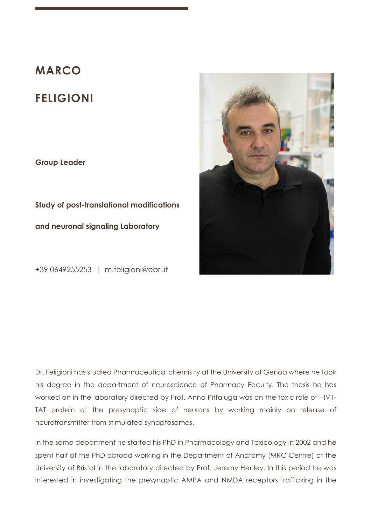## **MARCO**

# **FELIGIONI**

**Group Leader**

**Study of post-translational modifications and neuronal signaling Laboratory**

+39 0649255253 | m.feligioni@ebri.it



Dr. Feligioni has studied Pharmaceutical chemistry at the University of Genoa where he took his degree in the department of neuroscience of Pharmacy Faculty. The thesis he has worked on in the laboratory directed by Prof. Anna Pittaluga was on the toxic role of HIV1- TAT protein at the presynaptic side of neurons by working mainly on release of neurotransmitter from stimulated synaptosomes.

In the same department he started his PhD in Pharmacology and Toxicology in 2002 and he spent half of the PhD abroad working in the Department of Anatomy (MRC Centre) at the University of Bristol in the laboratory directed by Prof. Jeremy Henley. In this period he was interested in investigating the presynaptic AMPA and NMDA receptors trafficking in the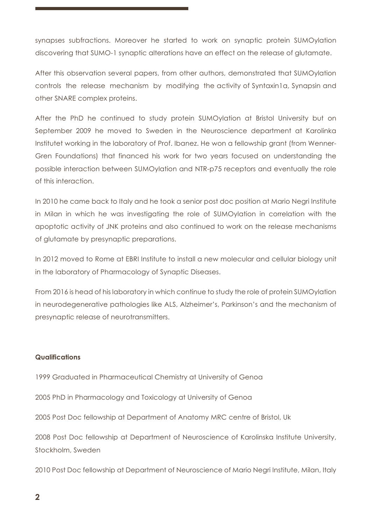synapses subfractions. Moreover he started to work on synaptic protein SUMOylation discovering that SUMO-1 synaptic alterations have an effect on the release of glutamate.

After this observation several papers, from other authors, demonstrated that SUMOylation controls the release mechanism by modifying the activity of Syntaxin1a, Synapsin and other SNARE complex proteins.

After the PhD he continued to study protein SUMOylation at Bristol University but on September 2009 he moved to Sweden in the Neuroscience department at Karolinka Institutet working in the laboratory of Prof. Ibanez. He won a fellowship grant (from Wenner-Gren Foundations) that financed his work for two years focused on understanding the possible interaction between SUMOylation and NTR-p75 receptors and eventually the role of this interaction.

In 2010 he came back to Italy and he took a senior post doc position at Mario Negri Institute in Milan in which he was investigating the role of SUMOylation in correlation with the apoptotic activity of JNK proteins and also continued to work on the release mechanisms of glutamate by presynaptic preparations.

In 2012 moved to Rome at EBRI Institute to install a new molecular and cellular biology unit in the laboratory of Pharmacology of Synaptic Diseases.

From 2016 is head of his laboratory in which continue to study the role of protein SUMOylation in neurodegenerative pathologies like ALS, Alzheimer's, Parkinson's and the mechanism of presynaptic release of neurotransmitters.

#### **Qualifications**

1999 Graduated in Pharmaceutical Chemistry at University of Genoa

2005 PhD in Pharmacology and Toxicology at University of Genoa

2005 Post Doc fellowship at Department of Anatomy MRC centre of Bristol, Uk

2008 Post Doc fellowship at Department of Neuroscience of Karolinska Institute University, Stockholm, Sweden

2010 Post Doc fellowship at Department of Neuroscience of Mario Negri Institute, Milan, Italy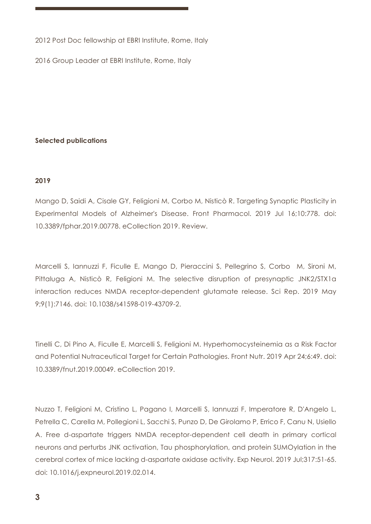2012 Post Doc fellowship at EBRI Institute, Rome, Italy

2016 Group Leader at EBRI Institute, Rome, Italy

## **Selected publications**

## **2019**

Mango D, Saidi A, Cisale GY, Feligioni M, Corbo M, Nisticò R. Targeting Synaptic Plasticity in Experimental Models of Alzheimer's Disease. Front Pharmacol. 2019 Jul 16;10:778. doi: 10.3389/fphar.2019.00778. eCollection 2019. Review.

Marcelli S, Iannuzzi F, Ficulle E, Mango D, Pieraccini S, Pellegrino S, Corbo M, Sironi M, Pittaluga A, Nisticò R, Feligioni M. The selective disruption of presynaptic JNK2/STX1a interaction reduces NMDA receptor-dependent glutamate release. Sci Rep. 2019 May 9;9(1):7146. doi: 10.1038/s41598-019-43709-2.

Tinelli C, Di Pino A, Ficulle E, Marcelli S, Feligioni M. Hyperhomocysteinemia as a Risk Factor and Potential Nutraceutical Target for Certain Pathologies. Front Nutr. 2019 Apr 24;6:49. doi: 10.3389/fnut.2019.00049. eCollection 2019.

Nuzzo T, Feligioni M, Cristino L, Pagano I, Marcelli S, Iannuzzi F, Imperatore R, D'Angelo L, Petrella C, Carella M, Pollegioni L, Sacchi S, Punzo D, De Girolamo P, Errico F, Canu N, Usiello A. Free d-aspartate triggers NMDA receptor-dependent cell death in primary cortical neurons and perturbs JNK activation, Tau phosphorylation, and protein SUMOylation in the cerebral cortex of mice lacking d-aspartate oxidase activity. Exp Neurol. 2019 Jul;317:51-65. doi: 10.1016/j.expneurol.2019.02.014.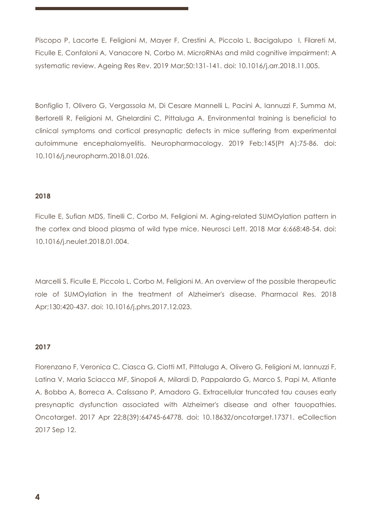Piscopo P, Lacorte E, Feligioni M, Mayer F, Crestini A, Piccolo L, Bacigalupo I, Filareti M, Ficulle E, Confaloni A, Vanacore N, Corbo M. MicroRNAs and mild cognitive impairment: A systematic review. Ageing Res Rev. 2019 Mar;50:131-141. doi: 10.1016/j.arr.2018.11.005.

Bonfiglio T, Olivero G, Vergassola M, Di Cesare Mannelli L, Pacini A, Iannuzzi F, Summa M, Bertorelli R, Feligioni M, Ghelardini C, Pittaluga A. Environmental training is beneficial to clinical symptoms and cortical presynaptic defects in mice suffering from experimental autoimmune encephalomyelitis. Neuropharmacology. 2019 Feb;145(Pt A):75-86. doi: 10.1016/j.neuropharm.2018.01.026.

## **2018**

Ficulle E, Sufian MDS, Tinelli C, Corbo M, Feligioni M. Aging-related SUMOylation pattern in the cortex and blood plasma of wild type mice. Neurosci Lett. 2018 Mar 6;668:48-54. doi: 10.1016/j.neulet.2018.01.004.

Marcelli S, Ficulle E, Piccolo L, Corbo M, Feligioni M. An overview of the possible therapeutic role of SUMOylation in the treatment of Alzheimer's disease. Pharmacol Res. 2018 Apr;130:420-437. doi: 10.1016/j.phrs.2017.12.023.

#### **2017**

Florenzano F, Veronica C, Ciasca G, Ciotti MT, Pittaluga A, Olivero G, Feligioni M, Iannuzzi F, Latina V, Maria Sciacca MF, Sinopoli A, Milardi D, Pappalardo G, Marco S, Papi M, Atlante A, Bobba A, Borreca A, Calissano P, Amadoro G. Extracellular truncated tau causes early presynaptic dysfunction associated with Alzheimer's disease and other tauopathies. Oncotarget. 2017 Apr 22;8(39):64745-64778. doi: 10.18632/oncotarget.17371. eCollection 2017 Sep 12.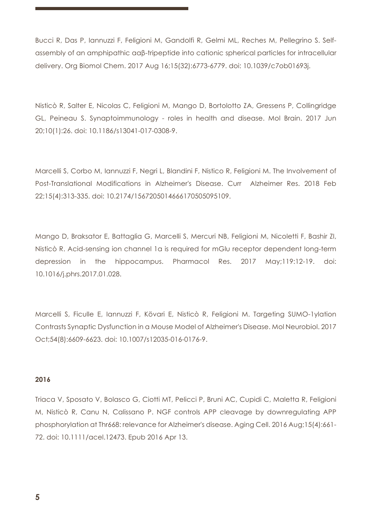Bucci R, Das P, Iannuzzi F, Feligioni M, Gandolfi R, Gelmi ML, Reches M, Pellegrino S. Selfassembly of an amphipathic ααβ-tripeptide into cationic spherical particles for intracellular delivery. Org Biomol Chem. 2017 Aug 16;15(32):6773-6779. doi: 10.1039/c7ob01693j.

Nisticò R, Salter E, Nicolas C, Feligioni M, Mango D, Bortolotto ZA, Gressens P, Collingridge GL, Peineau S. Synaptoimmunology - roles in health and disease. Mol Brain. 2017 Jun 20;10(1):26. doi: 10.1186/s13041-017-0308-9.

Marcelli S, Corbo M, Iannuzzi F, Negri L, Blandini F, Nistico R, Feligioni M. The Involvement of Post-Translational Modifications in Alzheimer's Disease. Curr Alzheimer Res. 2018 Feb 22;15(4):313-335. doi: 10.2174/1567205014666170505095109.

Mango D, Braksator E, Battaglia G, Marcelli S, Mercuri NB, Feligioni M, Nicoletti F, Bashir ZI, Nisticò R. Acid-sensing ion channel 1a is required for mGlu receptor dependent long-term depression in the hippocampus. Pharmacol Res. 2017 May;119:12-19. doi: 10.1016/j.phrs.2017.01.028.

Marcelli S, Ficulle E, Iannuzzi F, Kövari E, Nisticò R, Feligioni M. Targeting SUMO-1ylation Contrasts Synaptic Dysfunction in a Mouse Model of Alzheimer's Disease. Mol Neurobiol. 2017 Oct;54(8):6609-6623. doi: 10.1007/s12035-016-0176-9.

## **2016**

Triaca V, Sposato V, Bolasco G, Ciotti MT, Pelicci P, Bruni AC, Cupidi C, Maletta R, Feligioni M, Nisticò R, Canu N, Calissano P. NGF controls APP cleavage by downregulating APP phosphorylation at Thr668: relevance for Alzheimer's disease. Aging Cell. 2016 Aug;15(4):661- 72. doi: 10.1111/acel.12473. Epub 2016 Apr 13.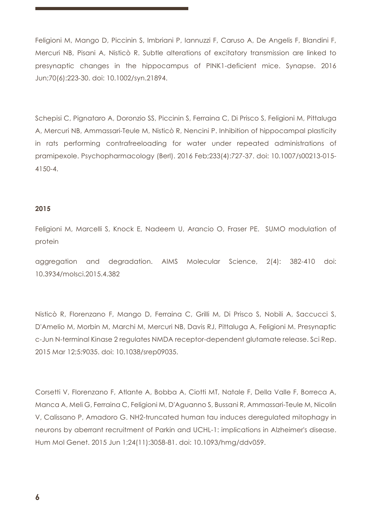Feligioni M, Mango D, Piccinin S, Imbriani P, Iannuzzi F, Caruso A, De Angelis F, Blandini F, Mercuri NB, Pisani A, Nisticò R. Subtle alterations of excitatory transmission are linked to presynaptic changes in the hippocampus of PINK1-deficient mice. Synapse. 2016 Jun;70(6):223-30. doi: 10.1002/syn.21894.

Schepisi C, Pignataro A, Doronzio SS, Piccinin S, Ferraina C, Di Prisco S, Feligioni M, Pittaluga A, Mercuri NB, Ammassari-Teule M, Nisticò R, Nencini P. Inhibition of hippocampal plasticity in rats performing contrafreeloading for water under repeated administrations of pramipexole. Psychopharmacology (Berl). 2016 Feb;233(4):727-37. doi: 10.1007/s00213-015- 4150-4.

#### **2015**

Feligioni M, Marcelli S, Knock E, Nadeem U, Arancio O, Fraser PE. SUMO modulation of protein

aggregation and degradation. AIMS Molecular Science, 2(4): 382-410 doi: 10.3934/molsci.2015.4.382

Nisticò R, Florenzano F, Mango D, Ferraina C, Grilli M, Di Prisco S, Nobili A, Saccucci S, D'Amelio M, Morbin M, Marchi M, Mercuri NB, Davis RJ, Pittaluga A, Feligioni M. Presynaptic c-Jun N-terminal Kinase 2 regulates NMDA receptor-dependent glutamate release. Sci Rep. 2015 Mar 12;5:9035. doi: 10.1038/srep09035.

Corsetti V, Florenzano F, Atlante A, Bobba A, Ciotti MT, Natale F, Della Valle F, Borreca A, Manca A, Meli G, Ferraina C, Feligioni M, D'Aguanno S, Bussani R, Ammassari-Teule M, Nicolin V, Calissano P, Amadoro G. NH2-truncated human tau induces deregulated mitophagy in neurons by aberrant recruitment of Parkin and UCHL-1: implications in Alzheimer's disease. Hum Mol Genet. 2015 Jun 1;24(11):3058-81. doi: 10.1093/hmg/ddv059.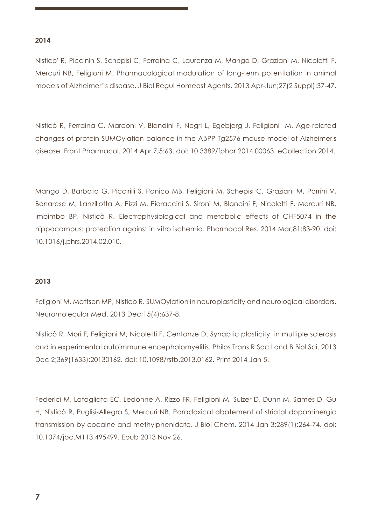## **2014**

Nistico' R, Piccinin S, Schepisi C, Ferraina C, Laurenza M, Mango D, Graziani M, Nicoletti F, Mercuri NB, Feligioni M. Pharmacological modulation of long-term potentiation in animal models of Alzheimer''s disease. J Biol Regul Homeost Agents. 2013 Apr-Jun;27(2 Suppl):37-47.

Nisticò R, Ferraina C, Marconi V, Blandini F, Negri L, Egebjerg J, Feligioni M. Age-related changes of protein SUMOylation balance in the AβPP Tg2576 mouse model of Alzheimer's disease. Front Pharmacol. 2014 Apr 7;5:63. doi: 10.3389/fphar.2014.00063. eCollection 2014.

Mango D, Barbato G, Piccirilli S, Panico MB, Feligioni M, Schepisi C, Graziani M, Porrini V, Benarese M, Lanzillotta A, Pizzi M, Pieraccini S, Sironi M, Blandini F, Nicoletti F, Mercuri NB, Imbimbo BP, Nisticò R. Electrophysiological and metabolic effects of CHF5074 in the hippocampus: protection against in vitro ischemia. Pharmacol Res. 2014 Mar;81:83-90. doi: 10.1016/j.phrs.2014.02.010.

## **2013**

Feligioni M, Mattson MP, Nisticò R. SUMOylation in neuroplasticity and neurological disorders. Neuromolecular Med. 2013 Dec;15(4):637-8.

Nisticò R, Mori F, Feligioni M, Nicoletti F, Centonze D. Synaptic plasticity in multiple sclerosis and in experimental autoimmune encephalomyelitis. Philos Trans R Soc Lond B Biol Sci. 2013 Dec 2;369(1633):20130162. doi: 10.1098/rstb.2013.0162. Print 2014 Jan 5.

Federici M, Latagliata EC, Ledonne A, Rizzo FR, Feligioni M, Sulzer D, Dunn M, Sames D, Gu H, Nisticò R, Puglisi-Allegra S, Mercuri NB. Paradoxical abatement of striatal dopaminergic transmission by cocaine and methylphenidate. J Biol Chem. 2014 Jan 3;289(1):264-74. doi: 10.1074/jbc.M113.495499. Epub 2013 Nov 26.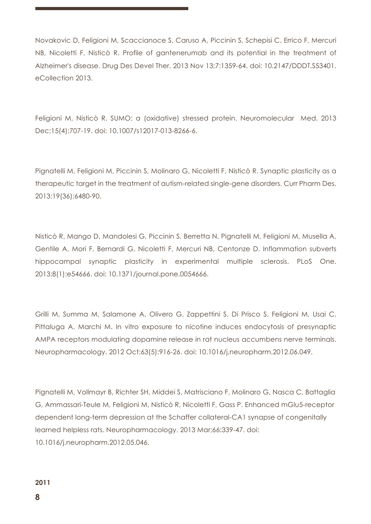Novakovic D, Feligioni M, Scaccianoce S, Caruso A, Piccinin S, Schepisi C, Errico F, Mercuri NB, Nicoletti F, Nisticò R. Profile of gantenerumab and its potential in the treatment of Alzheimer's disease. Drug Des Devel Ther. 2013 Nov 13;7:1359-64. doi: 10.2147/DDDT.S53401. eCollection 2013.

Feligioni M, Nisticò R. SUMO: a (oxidative) stressed protein. Neuromolecular Med. 2013 Dec;15(4):707-19. doi: 10.1007/s12017-013-8266-6.

Pignatelli M, Feligioni M, Piccinin S, Molinaro G, Nicoletti F, Nisticò R. Synaptic plasticity as a therapeutic target in the treatment of autism-related single-gene disorders. Curr Pharm Des. 2013;19(36):6480-90.

Nisticò R, Mango D, Mandolesi G, Piccinin S, Berretta N, Pignatelli M, Feligioni M, Musella A, Gentile A, Mori F, Bernardi G, Nicoletti F, Mercuri NB, Centonze D. Inflammation subverts hippocampal synaptic plasticity in experimental multiple sclerosis. PLoS One. 2013;8(1):e54666. doi: 10.1371/journal.pone.0054666.

Grilli M, Summa M, Salamone A, Olivero G, Zappettini S, Di Prisco S, Feligioni M, Usai C, Pittaluga A, Marchi M. In vitro exposure to nicotine induces endocytosis of presynaptic AMPA receptors modulating dopamine release in rat nucleus accumbens nerve terminals. Neuropharmacology. 2012 Oct;63(5):916-26. doi: 10.1016/j.neuropharm.2012.06.049.

Pignatelli M, Vollmayr B, Richter SH, Middei S, Matrisciano F, Molinaro G, Nasca C, Battaglia G, Ammassari-Teule M, Feligioni M, Nisticò R, Nicoletti F, Gass P. Enhanced mGlu5-receptor dependent long-term depression at the Schaffer collateral-CA1 synapse of congenitally learned helpless rats. Neuropharmacology. 2013 Mar;66:339-47. doi: 10.1016/j.neuropharm.2012.05.046.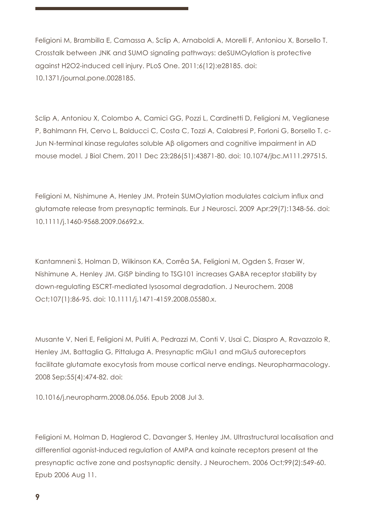Feligioni M, Brambilla E, Camassa A, Sclip A, Arnaboldi A, Morelli F, Antoniou X, Borsello T. Crosstalk between JNK and SUMO signaling pathways: deSUMOylation is protective against H2O2-induced cell injury. PLoS One. 2011;6(12):e28185. doi: 10.1371/journal.pone.0028185.

Sclip A, Antoniou X, Colombo A, Camici GG, Pozzi L, Cardinetti D, Feligioni M, Veglianese P, Bahlmann FH, Cervo L, Balducci C, Costa C, Tozzi A, Calabresi P, Forloni G, Borsello T. c-Jun N-terminal kinase regulates soluble Aβ oligomers and cognitive impairment in AD mouse model. J Biol Chem. 2011 Dec 23;286(51):43871-80. doi: 10.1074/jbc.M111.297515.

Feligioni M, Nishimune A, Henley JM. Protein SUMOylation modulates calcium influx and glutamate release from presynaptic terminals. Eur J Neurosci. 2009 Apr;29(7):1348-56. doi: 10.1111/j.1460-9568.2009.06692.x.

Kantamneni S, Holman D, Wilkinson KA, Corrêa SA, Feligioni M, Ogden S, Fraser W, Nishimune A, Henley JM. GISP binding to TSG101 increases GABA receptor stability by down-regulating ESCRT-mediated lysosomal degradation. J Neurochem. 2008 Oct;107(1):86-95. doi: 10.1111/j.1471-4159.2008.05580.x.

Musante V, Neri E, Feligioni M, Puliti A, Pedrazzi M, Conti V, Usai C, Diaspro A, Ravazzolo R, Henley JM, Battaglia G, Pittaluga A. Presynaptic mGlu1 and mGlu5 autoreceptors facilitate glutamate exocytosis from mouse cortical nerve endings. Neuropharmacology. 2008 Sep;55(4):474-82. doi:

10.1016/j.neuropharm.2008.06.056. Epub 2008 Jul 3.

Feligioni M, Holman D, Haglerod C, Davanger S, Henley JM. Ultrastructural localisation and differential agonist-induced regulation of AMPA and kainate receptors present at the presynaptic active zone and postsynaptic density. J Neurochem. 2006 Oct;99(2):549-60. Epub 2006 Aug 11.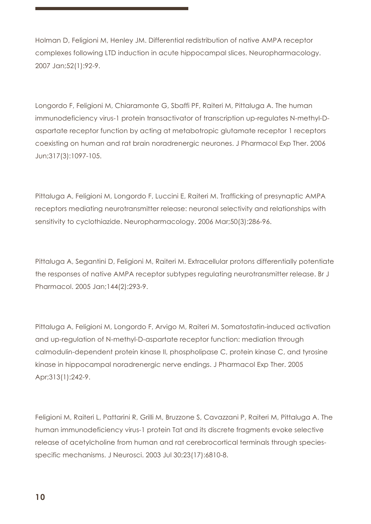Holman D, Feligioni M, Henley JM. Differential redistribution of native AMPA receptor complexes following LTD induction in acute hippocampal slices. Neuropharmacology. 2007 Jan;52(1):92-9.

Longordo F, Feligioni M, Chiaramonte G, Sbaffi PF, Raiteri M, Pittaluga A. The human immunodeficiency virus-1 protein transactivator of transcription up-regulates N-methyl-Daspartate receptor function by acting at metabotropic glutamate receptor 1 receptors coexisting on human and rat brain noradrenergic neurones. J Pharmacol Exp Ther. 2006 Jun;317(3):1097-105.

Pittaluga A, Feligioni M, Longordo F, Luccini E, Raiteri M. Trafficking of presynaptic AMPA receptors mediating neurotransmitter release: neuronal selectivity and relationships with sensitivity to cyclothiazide. Neuropharmacology. 2006 Mar;50(3):286-96.

Pittaluga A, Segantini D, Feligioni M, Raiteri M. Extracellular protons differentially potentiate the responses of native AMPA receptor subtypes regulating neurotransmitter release. Br J Pharmacol. 2005 Jan;144(2):293-9.

Pittaluga A, Feligioni M, Longordo F, Arvigo M, Raiteri M. Somatostatin-induced activation and up-regulation of N-methyl-D-aspartate receptor function: mediation through calmodulin-dependent protein kinase II, phospholipase C, protein kinase C, and tyrosine kinase in hippocampal noradrenergic nerve endings. J Pharmacol Exp Ther. 2005 Apr;313(1):242-9.

Feligioni M, Raiteri L, Pattarini R, Grilli M, Bruzzone S, Cavazzani P, Raiteri M, Pittaluga A. The human immunodeficiency virus-1 protein Tat and its discrete fragments evoke selective release of acetylcholine from human and rat cerebrocortical terminals through speciesspecific mechanisms. J Neurosci. 2003 Jul 30;23(17):6810-8.